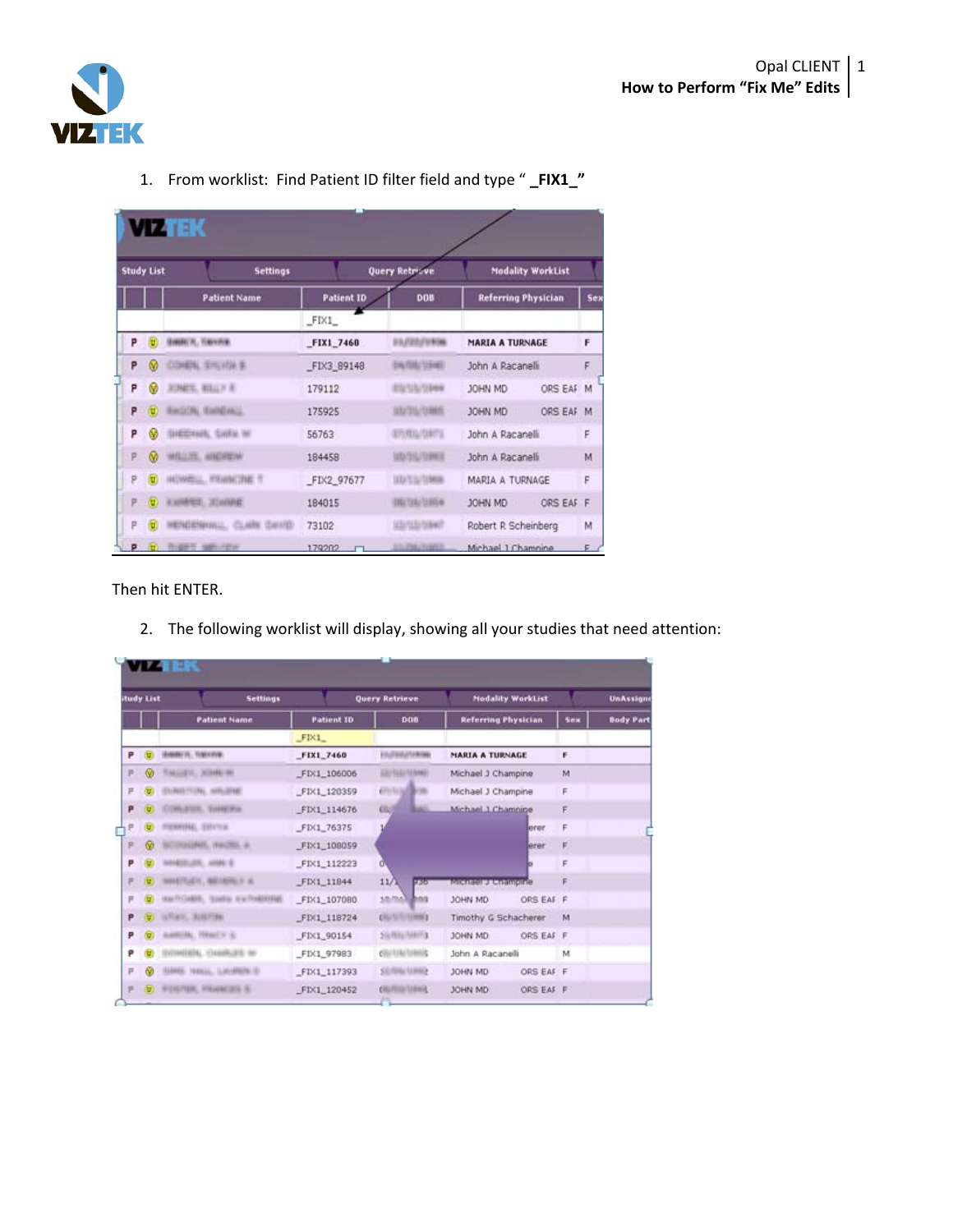

| <b>Study List</b>       | <b>Settings</b>               |                   | <b>Query Retrieve</b>     | <b>Modality WorkList</b>   |            |
|-------------------------|-------------------------------|-------------------|---------------------------|----------------------------|------------|
|                         | <b>Patient Name</b>           | <b>Patient ID</b> | DOB                       | <b>Referring Physician</b> | <b>Sex</b> |
|                         |                               | FIX1              |                           |                            |            |
| P<br>ਾਰਾ ।              | SWALT, THYPE,                 | FIX1_7460         | <b>ELIZZ/UNM</b>          | <b>MARIA A TURNAGE</b>     | F          |
| P<br>⋒                  | COMPAL SHUVAN B.              | FIX3 89148        | <b>ENGINE START</b>       | John A Racanelli           | F          |
| P<br>Ø                  | <b>JUNET, BILLY R</b>         | 179112            | ET2/12/1998               | ORS EAF<br>JOHN MD         | M          |
| P<br>$\left( 0 \right)$ | BAGON, EMICALL                | 175925            | 102012-0000               | ORS EAF<br>JOHN MD         | M          |
| P<br>ŵ                  | SHEEDHAN, Sadha MI            | 56763             | 6717616-158776            | John A Racanelli           | F          |
| P.<br>$\omega$          | WILLIE, HNDREW                | 184458            | UD/20/12003               | John A Racanelli           | M          |
| p<br>ū                  | HOMELL, FRHNCHE T             | FIX2 97677        | UD TA/1998                | MARIA A TURNAGE            | F          |
| P                       | $\Omega$ . KAINBYER, JELHINAK | 184015            | <b><i>DRITAL STOR</i></b> | ORS EAF F<br>JOHN MD       |            |
| p<br>U.                 | HENDENHALL, CLARK DAVID-      | 73102             | STATE STATE               | Robert R Scheinberg        | M          |
|                         | P .- D. THEFT MELTING         | 179202            | <b>S.O. Park Avenue</b>   | Michael 1 Chamnine         | F.         |

1. From worklist: Find Patient ID filter field and type " **\_FIX1\_"**

Then hit ENTER.

2. The following worklist will display, showing all your studies that need attention:

|                | <b>itudy List</b>       | <b>Settings</b>                     |                   | <b>Query Retrieve</b>                  |                            | <b>Modality WorkList</b> |     | <b>UnAssigne</b> |
|----------------|-------------------------|-------------------------------------|-------------------|----------------------------------------|----------------------------|--------------------------|-----|------------------|
|                |                         | <b>Patient Name</b>                 | <b>Patient ID</b> | DOB                                    | <b>Referring Physician</b> |                          | Sex | <b>Body Part</b> |
|                |                         |                                     | FIX1              |                                        |                            |                          |     |                  |
| P              |                         | insees in, maximal                  | FIX1_7460         | <b>EXUTAIR/JTU RITAN</b>               | <b>MARIA A TURNAGE</b>     |                          | F.  |                  |
| $\overline{P}$ |                         | THALLET, WANN OF                    | FIX1 106006       | <b>HAITMAN</b><br><b><i>SERMET</i></b> | Michael J Champine         |                          | M   |                  |
| P              |                         | AND FLORE, ANTI-UTABLE              | FIX1_120359       | sal Britto.<br><b>COLLE</b>            | Michael J Champine         |                          | F.  |                  |
| p              |                         | EDMUTINE, THREE IN                  | FIX1 114676       | <b>GUI</b>                             | Michael 1 Chamnine         |                          | F   |                  |
| P              |                         | STRONG, SAVICE                      | FIX1_76375        |                                        |                            | arer                     | F.  |                  |
| P              | $\infty$                | POLITICS, VIOLENCE &                | FIX1_108059       |                                        |                            | erer                     | F.  |                  |
| P              |                         | MARIELER, JAMES E                   | FIX1 112223       | d.                                     |                            |                          | F.  |                  |
| ۳              |                         | MARTILLEV, INCARRILY AL             | FD(1_11844)       | $11/\lambda$<br>9.36                   | <b>Michael J. Champine</b> |                          | E   |                  |
| P              |                         | AMTEDAMENT, ISLAMIN III W.THAERERAK | FIX1_107080       | sample and                             | JOHN MD                    | ORS EAF F                |     |                  |
| P              |                         | UTAHL BIRTINI                       | FIX1 118724       | <b>EXPLAINING</b>                      | Timothy G Schacherer       |                          | M   |                  |
| P              |                         | AUGUSTORY, TERMICHY (6)             | FIX1_90154        | 20/RIVIERS                             | JOHN MD                    | ORS EAF F                |     |                  |
| p              |                         | <b>URN, ONRUES W</b>                | FIX1_97983        | <b>CONTRACTABILITY</b>                 | John A Racanelli           |                          | M   |                  |
| $\mathbb{P}$   |                         | <b>RE- 1986LL, LANIFERCE</b>        | FIX1 117393       | <b>SERRICURRY</b>                      | JOHN MD                    | ORS EAF F                |     |                  |
| P              | $\left( \nabla \right)$ | : IPIDIS FIGHT, IPIGGRACIZER, IS.   | FIX1_120452       | <b>COLORINAL LIBRARY</b>               | JOHN MD                    | ORS EAF F.               |     |                  |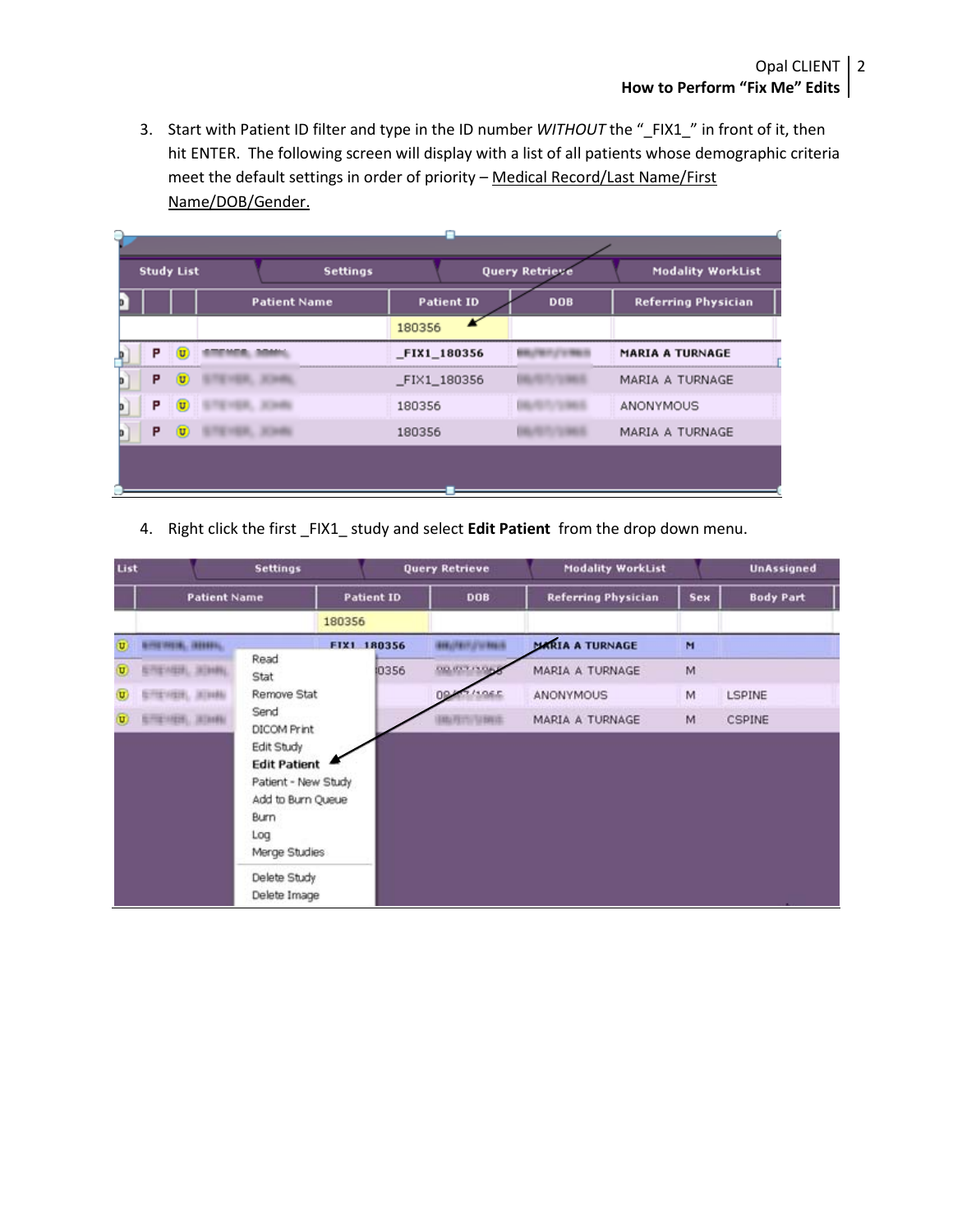3. Start with Patient ID filter and type in the ID number *WITHOUT* the "\_FIX1\_" in front of it, then hit ENTER. The following screen will display with a list of all patients whose demographic criteria meet the default settings in order of priority – Medical Record/Last Name/First Name/DOB/Gender.

| ۹ |   |                           |                     |                   |                       |                            |
|---|---|---------------------------|---------------------|-------------------|-----------------------|----------------------------|
|   |   | <b>Study List</b>         | <b>Settings</b>     |                   | <b>Query Retrieve</b> | <b>Modality WorkList</b>   |
|   |   |                           | <b>Patient Name</b> | <b>Patient ID</b> | <b>DOB</b>            | <b>Referring Physician</b> |
|   |   |                           |                     | 180356            |                       |                            |
|   | P | $\left(\mathtt{U}\right)$ |                     | _FIX1_180356      |                       | <b>MARIA A TURNAGE</b>     |
|   | P | σ                         |                     | FIX1_180356       |                       | MARIA A TURNAGE            |
| o | P | σ                         |                     | 180356            |                       | ANONYMOUS                  |
|   | P | ω                         |                     | 180356            |                       | MARIA A TURNAGE            |
|   |   |                           |                     |                   |                       |                            |

4. Right click the first \_FIX1\_ study and select **Edit Patient** from the drop down menu.

| List                    |                          | <b>Settings</b>                                                                                                                      |                   | <b>Query Retrieve</b>  | <b>Modality WorkList</b>   |            | <b>UnAssigned</b> |
|-------------------------|--------------------------|--------------------------------------------------------------------------------------------------------------------------------------|-------------------|------------------------|----------------------------|------------|-------------------|
|                         | <b>Patient Name</b>      |                                                                                                                                      | <b>Patient ID</b> | <b>DOB</b>             | <b>Referring Physician</b> | <b>Sex</b> | <b>Body Part</b>  |
|                         |                          |                                                                                                                                      | 180356            |                        |                            |            |                   |
| $\overline{\mathbf{u}}$ | <b>RISEMENT, INDIANA</b> |                                                                                                                                      | FIX1 180356       | <b>GELODINATORIALS</b> | <b>MARIA A TURNAGE</b>     | M          |                   |
| U,                      | 四十八日计, 深注线线              | Read<br>Stat                                                                                                                         | 0356              | 00.0377                | MARIA A TURNAGE            | M          |                   |
| σ                       | FISHING, JEDIAN          | Remove Stat                                                                                                                          |                   | <b>DP</b>              | ANONYMOUS                  | M          | <b>LSPINE</b>     |
| U)                      | STEVER, 331Hz            | Send<br>DICOM Print<br>Edit Study<br><b>Edit Patient</b><br>Patient - New Study<br>Add to Burn Queue<br>Burn<br>Log<br>Merge Studies |                   | <b>PERTURBED</b>       | MARIA A TURNAGE            | M          | <b>CSPINE</b>     |
|                         |                          | Delete Study<br>Delete Image                                                                                                         |                   |                        |                            |            |                   |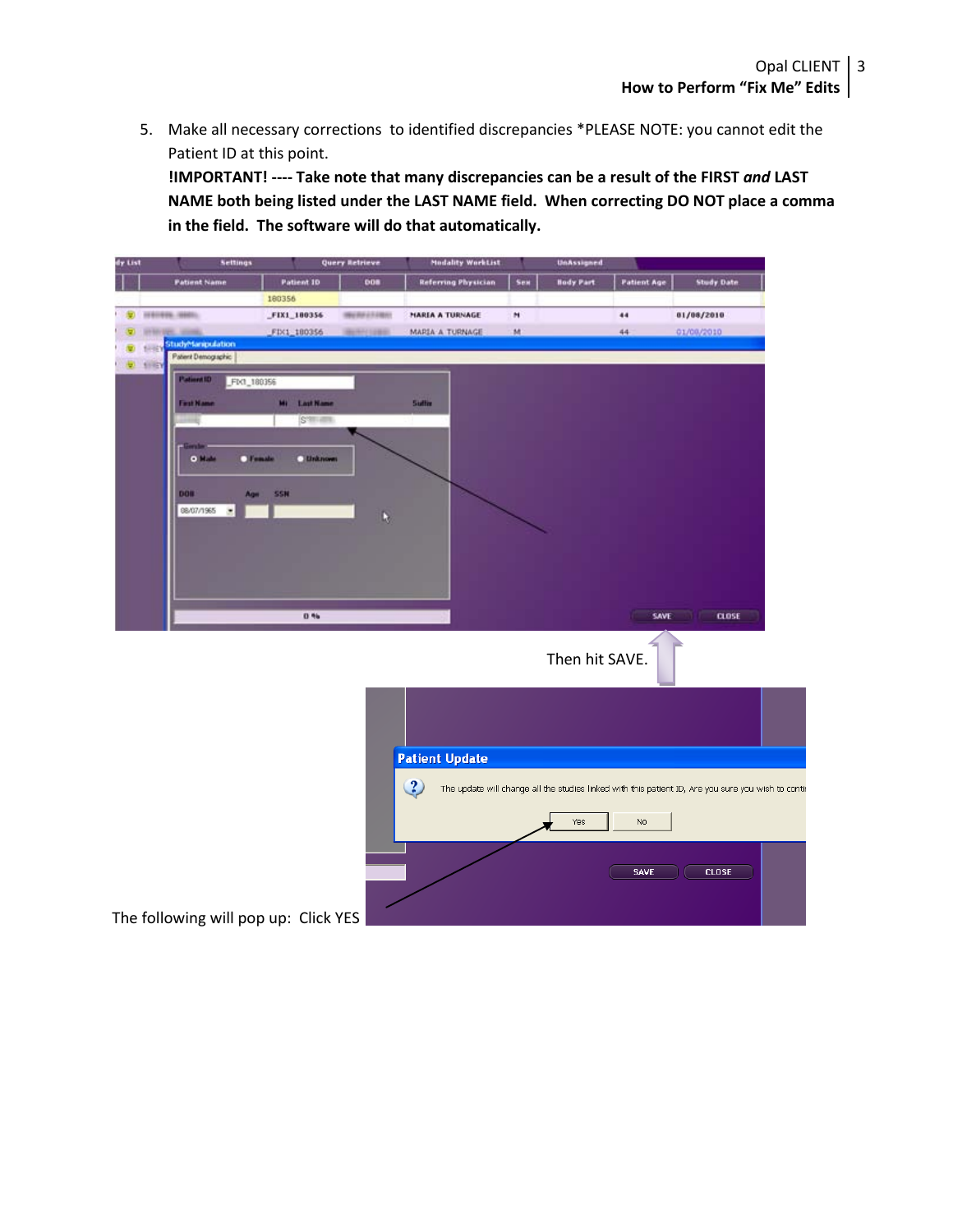5. Make all necessary corrections to identified discrepancies \*PLEASE NOTE: you cannot edit the Patient ID at this point.

**!IMPORTANT! ---- Take note that many discrepancies can be a result of the FIRST** *and* **LAST NAME both being listed under the LAST NAME field. When correcting DO NOT place a comma in the field. The software will do that automatically.**

| dy List |                                               | <b>Settings</b>          |                                      | <b>Query Retrieve</b> | <b>Modality WorkList</b>   |              | UnAssigned       |                    |                                                                                                     |
|---------|-----------------------------------------------|--------------------------|--------------------------------------|-----------------------|----------------------------|--------------|------------------|--------------------|-----------------------------------------------------------------------------------------------------|
|         | <b>Patient Name</b>                           |                          | Patient 10                           | <b>DOM</b>            | <b>Referring Physician</b> | Sex          | <b>Body Part</b> | <b>Patient Age</b> | <b>Study Date</b>                                                                                   |
|         |                                               |                          | 180356                               |                       |                            |              |                  |                    |                                                                                                     |
|         | 1981006-10001                                 |                          | FIX1_180356                          | <b>INVERTITES</b>     | MARIA A TURNAGE            | $\mathbf{H}$ |                  | 44                 | 01/08/2010                                                                                          |
|         |                                               |                          | FD(1_180356                          | 4697110800            | MARIA A TURNAGE            | M            |                  | 44                 | 01/08/2010                                                                                          |
|         | StudyManipulation<br>68<br>Patent Demographic |                          |                                      |                       |                            |              |                  |                    |                                                                                                     |
|         | <b>D</b> FIREY                                |                          |                                      |                       |                            |              |                  |                    |                                                                                                     |
|         | Patient ID                                    | FIX1_180356              |                                      |                       |                            |              |                  |                    |                                                                                                     |
|         | <b>First Name</b>                             |                          | Mi Last Name                         |                       | <b>Suffix</b>              |              |                  |                    |                                                                                                     |
|         |                                               |                          | S'illiam                             |                       |                            |              |                  |                    |                                                                                                     |
|         |                                               |                          |                                      |                       |                            |              |                  |                    |                                                                                                     |
|         | 0 <sup>1</sup>                                | Female                   | <b>Linknown</b>                      |                       |                            |              |                  |                    |                                                                                                     |
|         |                                               |                          |                                      |                       |                            |              |                  |                    |                                                                                                     |
|         | <b>DOM</b>                                    | An-                      | <b>SSN</b>                           |                       |                            |              |                  |                    |                                                                                                     |
|         | 08/07/1965                                    | $\overline{\phantom{a}}$ |                                      | Ŋ                     |                            |              |                  |                    |                                                                                                     |
|         |                                               |                          |                                      |                       |                            |              |                  |                    |                                                                                                     |
|         |                                               |                          |                                      |                       |                            |              |                  |                    |                                                                                                     |
|         |                                               |                          |                                      |                       |                            |              |                  |                    |                                                                                                     |
|         |                                               |                          |                                      |                       |                            |              |                  |                    |                                                                                                     |
|         |                                               |                          |                                      |                       |                            |              |                  |                    |                                                                                                     |
|         |                                               |                          | 0.96                                 |                       |                            |              |                  | SAVE               | <b>CLOSE</b>                                                                                        |
|         |                                               |                          |                                      |                       |                            |              |                  |                    |                                                                                                     |
|         |                                               |                          |                                      |                       |                            |              | Then hit SAVE.   |                    |                                                                                                     |
|         |                                               |                          |                                      |                       |                            |              |                  |                    |                                                                                                     |
|         |                                               |                          |                                      |                       |                            |              |                  |                    |                                                                                                     |
|         |                                               |                          |                                      |                       |                            |              |                  |                    |                                                                                                     |
|         |                                               |                          |                                      |                       |                            |              |                  |                    |                                                                                                     |
|         |                                               |                          |                                      |                       |                            |              |                  |                    |                                                                                                     |
|         |                                               |                          |                                      |                       | <b>Patient Update</b>      |              |                  |                    |                                                                                                     |
|         |                                               |                          |                                      |                       | $\overline{\mathbf{3}}$    |              |                  |                    | The update will change all the studies linked with this patient ID, Are you sure you wish to contir |
|         |                                               |                          |                                      |                       |                            |              |                  |                    |                                                                                                     |
|         |                                               |                          |                                      |                       |                            |              | Yes              | No                 |                                                                                                     |
|         |                                               |                          |                                      |                       |                            |              |                  |                    |                                                                                                     |
|         |                                               |                          |                                      |                       |                            |              |                  |                    |                                                                                                     |
|         |                                               |                          |                                      |                       |                            |              |                  | SAVE               | <b>CLOSE</b>                                                                                        |
|         |                                               |                          |                                      |                       |                            |              |                  |                    |                                                                                                     |
|         |                                               |                          |                                      |                       |                            |              |                  |                    |                                                                                                     |
|         |                                               |                          | The following will pop up: Click YES |                       |                            |              |                  |                    |                                                                                                     |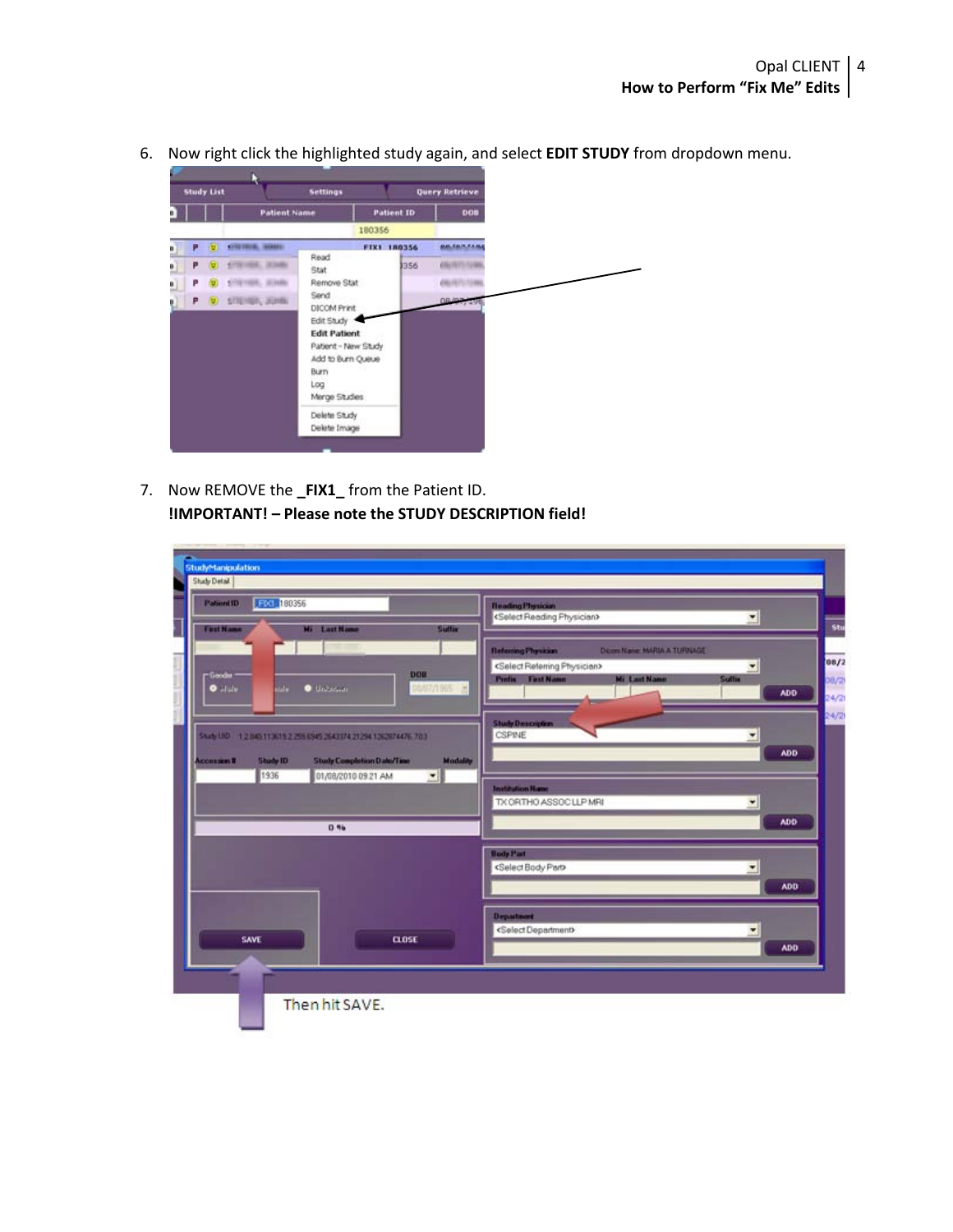

7. Now REMOVE the **\_FIX1\_** from the Patient ID. **!IMPORTANT! – Please note the STUDY DESCRIPTION field!**

| <b>Patient1D</b>  | FG1 180356      |                                                                  |                 | <b>Heading Physician</b><br><select physician="" reading=""></select>                          |            |
|-------------------|-----------------|------------------------------------------------------------------|-----------------|------------------------------------------------------------------------------------------------|------------|
| <b>First Name</b> |                 | Mi Last Name                                                     | Suffix          | $\blacktriangledown$                                                                           |            |
|                   |                 |                                                                  |                 | <b><i><u>Referring Physician</u></i></b><br><b>Dicon Name: MARIA A TURNAGE</b>                 |            |
| -Gooder           |                 |                                                                  | <b>DOIL</b>     | <select physician="" reterring=""><br/><math display="inline">\pmb{\mathsf{v}}</math></select> |            |
| $0$ alulu         | <b>Salar</b>    | <b>O</b> University                                              | 00/07/1965 三    | <b>Prefix First Name</b><br><b>Mi Last Name</b><br>Sullin                                      | ADD        |
|                   |                 |                                                                  |                 |                                                                                                |            |
|                   |                 |                                                                  |                 | <b>Study Description</b>                                                                       |            |
|                   |                 | Shudy UKD 1 2 BAD 113619 2 259 6945 2643174 21294 1262874476 703 |                 | CSPINE<br>$\blacksquare$                                                                       |            |
| Accession II      | <b>Study ID</b> | <b>Study Completion Date/Time</b>                                | <b>Modality</b> |                                                                                                | <b>ADD</b> |
|                   | 1936            | 01/08/2010 09:21 AM                                              | 케               | <b>Institution Hame</b>                                                                        |            |
|                   |                 |                                                                  |                 | TX ORTHO ASSOCILIP MRI<br>$\blacktriangledown$                                                 |            |
|                   |                 | 0.96                                                             |                 |                                                                                                | ADD        |
|                   |                 |                                                                  |                 |                                                                                                |            |
|                   |                 |                                                                  |                 | <b>Body Part</b>                                                                               |            |
|                   |                 |                                                                  |                 | <select body="" part=""><br/><math display="inline">\blacktriangledown</math></select>         |            |
|                   |                 |                                                                  |                 |                                                                                                | <b>ADD</b> |
|                   |                 |                                                                  |                 | <b>Department</b>                                                                              |            |
|                   | SAVE            |                                                                  | <b>CLOSE</b>    | <select department=""><br/>츼</select>                                                          |            |
|                   |                 |                                                                  |                 |                                                                                                | ADD        |
|                   |                 |                                                                  |                 |                                                                                                |            |